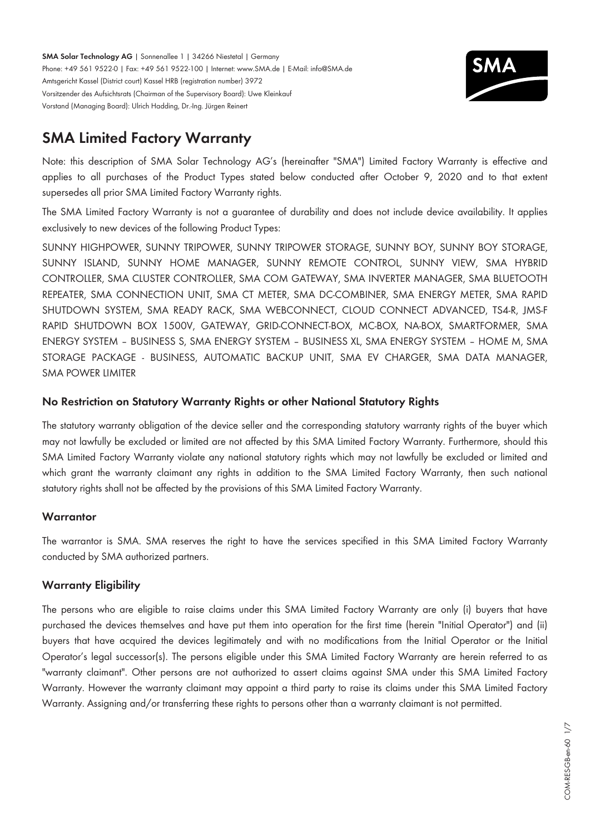**SMA Solar Technology AG** | Sonnenallee 1 | 34266 Niestetal | Germany Phone: +49 561 9522-0 | Fax: +49 561 9522-100 | Internet: www.SMA.de | E-Mail: info@SMA.de Amtsgericht Kassel (District court) Kassel HRB (registration number) 3972 Vorsitzender des Aufsichtsrats (Chairman of the Supervisory Board): Uwe Kleinkauf Vorstand (Managing Board): Ulrich Hadding, Dr.-Ing. Jürgen Reinert



# **SMA Limited Factory Warranty**

Note: this description of SMA Solar Technology AG's (hereinafter "SMA") Limited Factory Warranty is effective and applies to all purchases of the Product Types stated below conducted after October 9, 2020 and to that extent supersedes all prior SMA Limited Factory Warranty rights.

The SMA Limited Factory Warranty is not a guarantee of durability and does not include device availability. It applies exclusively to new devices of the following Product Types:

SUNNY HIGHPOWER, SUNNY TRIPOWER, SUNNY TRIPOWER STORAGE, SUNNY BOY, SUNNY BOY STORAGE, SUNNY ISLAND, SUNNY HOME MANAGER, SUNNY REMOTE CONTROL, SUNNY VIEW, SMA HYBRID CONTROLLER, SMA CLUSTER CONTROLLER, SMA COM GATEWAY, SMA INVERTER MANAGER, SMA BLUETOOTH REPEATER, SMA CONNECTION UNIT, SMA CT METER, SMA DC-COMBINER, SMA ENERGY METER, SMA RAPID SHUTDOWN SYSTEM, SMA READY RACK, SMA WEBCONNECT, CLOUD CONNECT ADVANCED, TS4-R, JMS-F RAPID SHUTDOWN BOX 1500V, GATEWAY, GRID-CONNECT-BOX, MC-BOX, NA-BOX, SMARTFORMER, SMA ENERGY SYSTEM – BUSINESS S, SMA ENERGY SYSTEM – BUSINESS XL, SMA ENERGY SYSTEM – HOME M, SMA STORAGE PACKAGE - BUSINESS, AUTOMATIC BACKUP UNIT, SMA EV CHARGER, SMA DATA MANAGER, SMA POWER LIMITER

# **No Restriction on Statutory Warranty Rights or other National Statutory Rights**

The statutory warranty obligation of the device seller and the corresponding statutory warranty rights of the buyer which may not lawfully be excluded or limited are not affected by this SMA Limited Factory Warranty. Furthermore, should this SMA Limited Factory Warranty violate any national statutory rights which may not lawfully be excluded or limited and which grant the warranty claimant any rights in addition to the SMA Limited Factory Warranty, then such national statutory rights shall not be affected by the provisions of this SMA Limited Factory Warranty.

## **Warrantor**

The warrantor is SMA. SMA reserves the right to have the services specified in this SMA Limited Factory Warranty conducted by SMA authorized partners.

## **Warranty Eligibility**

The persons who are eligible to raise claims under this SMA Limited Factory Warranty are only (i) buyers that have purchased the devices themselves and have put them into operation for the first time (herein "Initial Operator") and (ii) buyers that have acquired the devices legitimately and with no modifications from the Initial Operator or the Initial Operator's legal successor(s). The persons eligible under this SMA Limited Factory Warranty are herein referred to as "warranty claimant". Other persons are not authorized to assert claims against SMA under this SMA Limited Factory Warranty. However the warranty claimant may appoint a third party to raise its claims under this SMA Limited Factory Warranty. Assigning and/or transferring these rights to persons other than a warranty claimant is not permitted.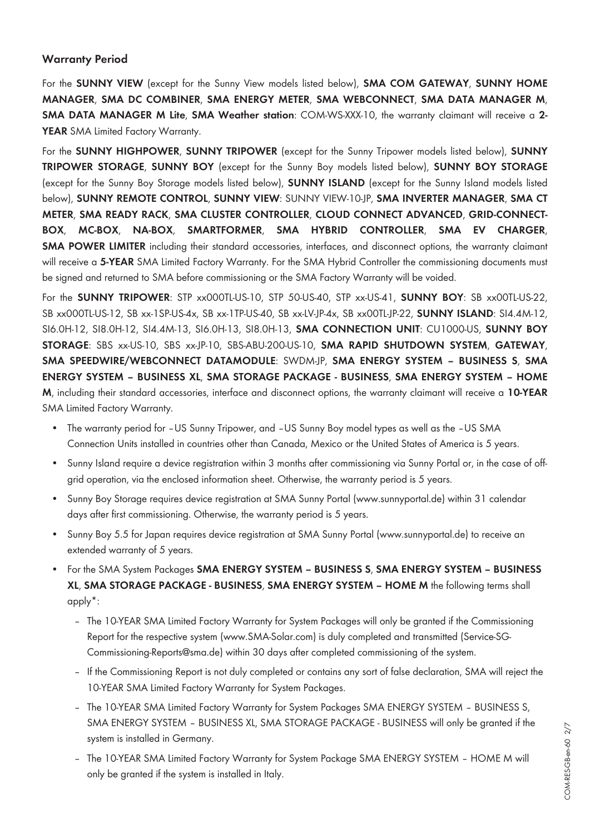## **Warranty Period**

For the **SUNNY VIEW** (except for the Sunny View models listed below), **SMA COM GATEWAY**, **SUNNY HOME MANAGER**, **SMA DC COMBINER**, **SMA ENERGY METER**, **SMA WEBCONNECT**, **SMA DATA MANAGER M**, **SMA DATA MANAGER M Lite**, **SMA Weather station**: COM-WS-XXX-10, the warranty claimant will receive a **2-** YEAR SMA Limited Factory Warranty.

For the **SUNNY HIGHPOWER**, **SUNNY TRIPOWER** (except for the Sunny Tripower models listed below), **SUNNY TRIPOWER STORAGE**, **SUNNY BOY** (except for the Sunny Boy models listed below), **SUNNY BOY STORAGE** (except for the Sunny Boy Storage models listed below), **SUNNY ISLAND** (except for the Sunny Island models listed below), **SUNNY REMOTE CONTROL**, **SUNNY VIEW**: SUNNY VIEW-10-JP, **SMA INVERTER MANAGER**, **SMA CT METER**, **SMA READY RACK**, **SMA CLUSTER CONTROLLER**, **CLOUD CONNECT ADVANCED**, **GRID-CONNECT-BOX**, **MC-BOX**, **NA-BOX**, **SMARTFORMER**, **SMA HYBRID CONTROLLER**, **SMA EV CHARGER**, **SMA POWER LIMITER** including their standard accessories, interfaces, and disconnect options, the warranty claimant will receive a **5-YEAR** SMA Limited Factory Warranty. For the SMA Hybrid Controller the commissioning documents must be signed and returned to SMA before commissioning or the SMA Factory Warranty will be voided.

For the **SUNNY TRIPOWER**: STP xx000TL-US-10, STP 50-US-40, STP xx-US-41, **SUNNY BOY**: SB xx00TL-US-22, SB xx000TL-US-12, SB xx-1SP-US-4x, SB xx-1TP-US-40, SB xx-LV-JP-4x, SB xx00TL-JP-22, **SUNNY ISLAND**: SI4.4M-12, SI6.0H-12, SI8.0H-12, SI4.4M-13, SI6.0H-13, SI8.0H-13, **SMA CONNECTION UNIT**: CU1000-US, **SUNNY BOY STORAGE**: SBS xx-US-10, SBS xx-JP-10, SBS-ABU-200-US-10, **SMA RAPID SHUTDOWN SYSTEM**, **GATEWAY**, **SMA SPEEDWIRE/WEBCONNECT DATAMODULE**: SWDM-JP, **SMA ENERGY SYSTEM – BUSINESS S**, **SMA ENERGY SYSTEM – BUSINESS XL**, **SMA STORAGE PACKAGE - BUSINESS**, **SMA ENERGY SYSTEM – HOME M**, including their standard accessories, interface and disconnect options, the warranty claimant will receive a **10-YEAR** SMA Limited Factory Warranty.

- The warranty period for -US Sunny Tripower, and -US Sunny Boy model types as well as the -US SMA Connection Units installed in countries other than Canada, Mexico or the United States of America is 5 years.
- Sunny Island require a device registration within 3 months after commissioning via Sunny Portal or, in the case of offgrid operation, via the enclosed information sheet. Otherwise, the warranty period is 5 years.
- Sunny Boy Storage requires device registration at SMA Sunny Portal (www.sunnyportal.de) within 31 calendar days after first commissioning. Otherwise, the warranty period is 5 years.
- Sunny Boy 5.5 for Japan requires device registration at SMA Sunny Portal (www.sunnyportal.de) to receive an extended warranty of 5 years.
- For the SMA System Packages **SMA ENERGY SYSTEM BUSINESS S**, **SMA ENERGY SYSTEM BUSINESS XL**, **SMA STORAGE PACKAGE - BUSINESS**, **SMA ENERGY SYSTEM – HOME M** the following terms shall apply\*:
	- The 10-YEAR SMA Limited Factory Warranty for System Packages will only be granted if the Commissioning Report for the respective system ([www.SMA-Solar.com\)](http://www.SMA-Solar.com) is duly completed and transmitted (Service-SG-Commissioning-Reports@sma.de) within 30 days after completed commissioning of the system.
	- If the Commissioning Report is not duly completed or contains any sort of false declaration, SMA will reject the 10-YEAR SMA Limited Factory Warranty for System Packages.
	- The 10-YEAR SMA Limited Factory Warranty for System Packages SMA ENERGY SYSTEM BUSINESS S, SMA ENERGY SYSTEM – BUSINESS XL, SMA STORAGE PACKAGE - BUSINESS will only be granted if the system is installed in Germany.
	- The 10-YEAR SMA Limited Factory Warranty for System Package SMA ENERGY SYSTEM HOME M will only be granted if the system is installed in Italy.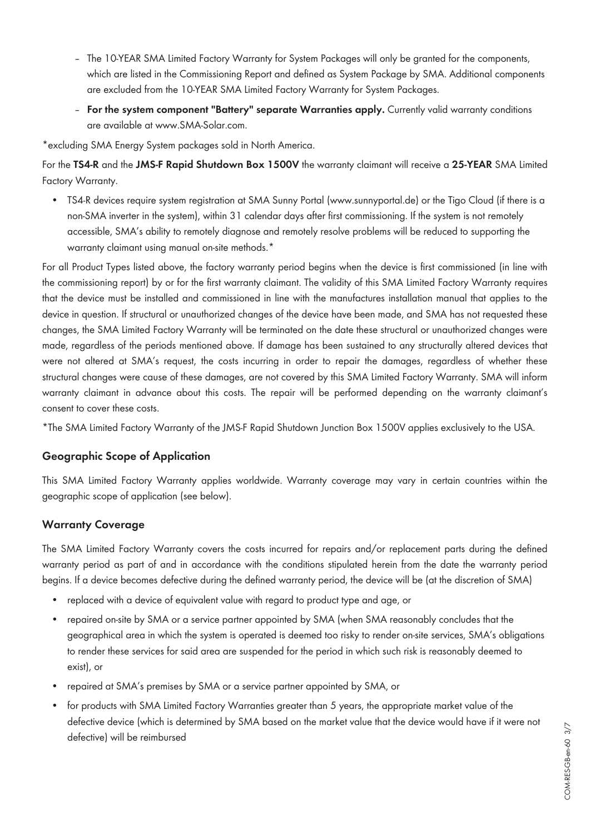- The 10-YEAR SMA Limited Factory Warranty for System Packages will only be granted for the components, which are listed in the Commissioning Report and defined as System Package by SMA. Additional components are excluded from the 10-YEAR SMA Limited Factory Warranty for System Packages.
- **For the system component "Battery" separate Warranties apply.** Currently valid warranty conditions are available at [www.SMA-Solar.com](http://www.SMA-Solar.com).

\*excluding SMA Energy System packages sold in North America.

For the **TS4-R** and the **JMS-F Rapid Shutdown Box 1500V** the warranty claimant will receive a **25-YEAR** SMA Limited Factory Warranty.

• TS4-R devices require system registration at SMA Sunny Portal (www.sunnyportal.de) or the Tigo Cloud (if there is a non-SMA inverter in the system), within 31 calendar days after first commissioning. If the system is not remotely accessible, SMA's ability to remotely diagnose and remotely resolve problems will be reduced to supporting the warranty claimant using manual on-site methods.<sup>\*</sup>

For all Product Types listed above, the factory warranty period begins when the device is first commissioned (in line with the commissioning report) by or for the first warranty claimant. The validity of this SMA Limited Factory Warranty requires that the device must be installed and commissioned in line with the manufactures installation manual that applies to the device in question. If structural or unauthorized changes of the device have been made, and SMA has not requested these changes, the SMA Limited Factory Warranty will be terminated on the date these structural or unauthorized changes were made, regardless of the periods mentioned above. If damage has been sustained to any structurally altered devices that were not altered at SMA's request, the costs incurring in order to repair the damages, regardless of whether these structural changes were cause of these damages, are not covered by this SMA Limited Factory Warranty. SMA will inform warranty claimant in advance about this costs. The repair will be performed depending on the warranty claimant's consent to cover these costs.

\*The SMA Limited Factory Warranty of the JMS-F Rapid Shutdown Junction Box 1500V applies exclusively to the USA.

## **Geographic Scope of Application**

This SMA Limited Factory Warranty applies worldwide. Warranty coverage may vary in certain countries within the geographic scope of application (see below).

# **Warranty Coverage**

The SMA Limited Factory Warranty covers the costs incurred for repairs and/or replacement parts during the defined warranty period as part of and in accordance with the conditions stipulated herein from the date the warranty period begins. If a device becomes defective during the defined warranty period, the device will be (at the discretion of SMA)

- replaced with a device of equivalent value with regard to product type and age, or
- repaired on-site by SMA or a service partner appointed by SMA (when SMA reasonably concludes that the geographical area in which the system is operated is deemed too risky to render on-site services, SMA's obligations to render these services for said area are suspended for the period in which such risk is reasonably deemed to exist), or
- repaired at SMA's premises by SMA or a service partner appointed by SMA, or
- for products with SMA Limited Factory Warranties greater than 5 years, the appropriate market value of the defective device (which is determined by SMA based on the market value that the device would have if it were not defective) will be reimbursed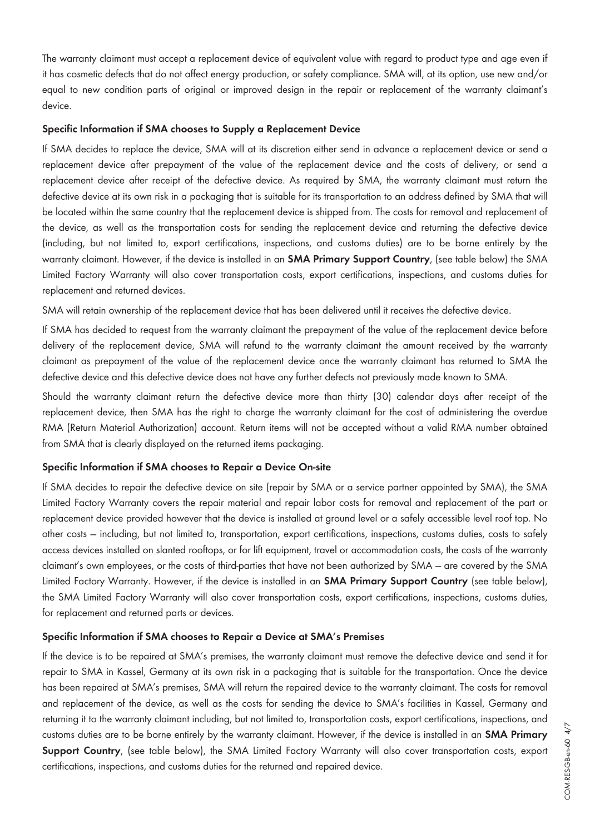The warranty claimant must accept a replacement device of equivalent value with regard to product type and age even if it has cosmetic defects that do not affect energy production, or safety compliance. SMA will, at its option, use new and/or equal to new condition parts of original or improved design in the repair or replacement of the warranty claimant's device.

#### **Specific Information if SMA chooses to Supply a Replacement Device**

If SMA decides to replace the device, SMA will at its discretion either send in advance a replacement device or send a replacement device after prepayment of the value of the replacement device and the costs of delivery, or send a replacement device after receipt of the defective device. As required by SMA, the warranty claimant must return the defective device at its own risk in a packaging that is suitable for its transportation to an address defined by SMA that will be located within the same country that the replacement device is shipped from. The costs for removal and replacement of the device, as well as the transportation costs for sending the replacement device and returning the defective device (including, but not limited to, export certifications, inspections, and customs duties) are to be borne entirely by the warranty claimant. However, if the device is installed in an **SMA Primary Support Country**, (see table below) the SMA Limited Factory Warranty will also cover transportation costs, export certifications, inspections, and customs duties for replacement and returned devices.

SMA will retain ownership of the replacement device that has been delivered until it receives the defective device.

If SMA has decided to request from the warranty claimant the prepayment of the value of the replacement device before delivery of the replacement device, SMA will refund to the warranty claimant the amount received by the warranty claimant as prepayment of the value of the replacement device once the warranty claimant has returned to SMA the defective device and this defective device does not have any further defects not previously made known to SMA.

Should the warranty claimant return the defective device more than thirty (30) calendar days after receipt of the replacement device, then SMA has the right to charge the warranty claimant for the cost of administering the overdue RMA (Return Material Authorization) account. Return items will not be accepted without a valid RMA number obtained from SMA that is clearly displayed on the returned items packaging.

#### **Specific Information if SMA chooses to Repair a Device On-site**

If SMA decides to repair the defective device on site (repair by SMA or a service partner appointed by SMA), the SMA Limited Factory Warranty covers the repair material and repair labor costs for removal and replacement of the part or replacement device provided however that the device is installed at ground level or a safely accessible level roof top. No other costs — including, but not limited to, transportation, export certifications, inspections, customs duties, costs to safely access devices installed on slanted rooftops, or for lift equipment, travel or accommodation costs, the costs of the warranty claimant's own employees, or the costs of third-parties that have not been authorized by SMA — are covered by the SMA Limited Factory Warranty. However, if the device is installed in an **SMA Primary Support Country** (see table below), the SMA Limited Factory Warranty will also cover transportation costs, export certifications, inspections, customs duties, for replacement and returned parts or devices.

#### **Specific Information if SMA chooses to Repair a Device at SMA's Premises**

If the device is to be repaired at SMA's premises, the warranty claimant must remove the defective device and send it for repair to SMA in Kassel, Germany at its own risk in a packaging that is suitable for the transportation. Once the device has been repaired at SMA's premises, SMA will return the repaired device to the warranty claimant. The costs for removal and replacement of the device, as well as the costs for sending the device to SMA's facilities in Kassel, Germany and returning it to the warranty claimant including, but not limited to, transportation costs, export certifications, inspections, and customs duties are to be borne entirely by the warranty claimant. However, if the device is installed in an **SMA Primary Support Country**, (see table below), the SMA Limited Factory Warranty will also cover transportation costs, export certifications, inspections, and customs duties for the returned and repaired device.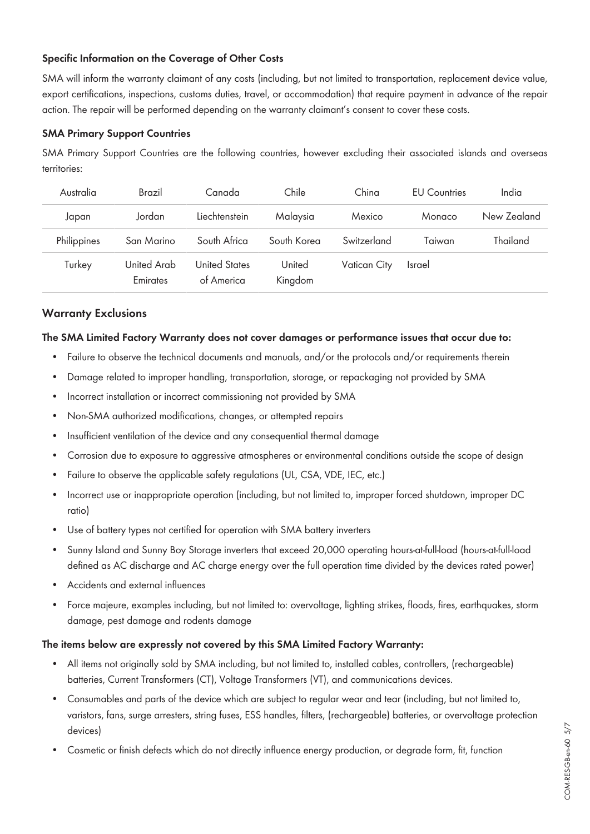## **Specific Information on the Coverage of Other Costs**

SMA will inform the warranty claimant of any costs (including, but not limited to transportation, replacement device value, export certifications, inspections, customs duties, travel, or accommodation) that require payment in advance of the repair action. The repair will be performed depending on the warranty claimant's consent to cover these costs.

#### **SMA Primary Support Countries**

SMA Primary Support Countries are the following countries, however excluding their associated islands and overseas territories:

| Australia   | Brazil                  | Canada                             | Chile             | China        | <b>FU</b> Countries | India       |
|-------------|-------------------------|------------------------------------|-------------------|--------------|---------------------|-------------|
| Japan       | Jordan                  | Liechtenstein                      | Malaysia          | Mexico       | Monaco              | New Zealand |
| Philippines | San Marino              | South Africa                       | South Korea       | Switzerland  | Taiwan              | Thailand    |
| Turkey      | United Arab<br>Emirates | <b>United States</b><br>of America | United<br>Kingdom | Vatican City | <b>Israel</b>       |             |

#### **Warranty Exclusions**

#### **The SMA Limited Factory Warranty does not cover damages or performance issues that occur due to:**

- Failure to observe the technical documents and manuals, and/or the protocols and/or requirements therein
- Damage related to improper handling, transportation, storage, or repackaging not provided by SMA
- Incorrect installation or incorrect commissioning not provided by SMA
- Non-SMA authorized modifications, changes, or attempted repairs
- Insufficient ventilation of the device and any consequential thermal damage
- Corrosion due to exposure to aggressive atmospheres or environmental conditions outside the scope of design
- Failure to observe the applicable safety regulations (UL, CSA, VDE, IEC, etc.)
- Incorrect use or inappropriate operation (including, but not limited to, improper forced shutdown, improper DC ratio)
- Use of battery types not certified for operation with SMA battery inverters
- Sunny Island and Sunny Boy Storage inverters that exceed 20,000 operating hours-at-full-load (hours-at-full-load defined as AC discharge and AC charge energy over the full operation time divided by the devices rated power)
- Accidents and external influences
- Force majeure, examples including, but not limited to: overvoltage, lighting strikes, floods, fires, earthquakes, storm damage, pest damage and rodents damage

#### **The items below are expressly not covered by this SMA Limited Factory Warranty:**

- All items not originally sold by SMA including, but not limited to, installed cables, controllers, (rechargeable) batteries, Current Transformers (CT), Voltage Transformers (VT), and communications devices.
- Consumables and parts of the device which are subject to regular wear and tear (including, but not limited to, varistors, fans, surge arresters, string fuses, ESS handles, filters, (rechargeable) batteries, or overvoltage protection devices)
- Cosmetic or finish defects which do not directly influence energy production, or degrade form, fit, function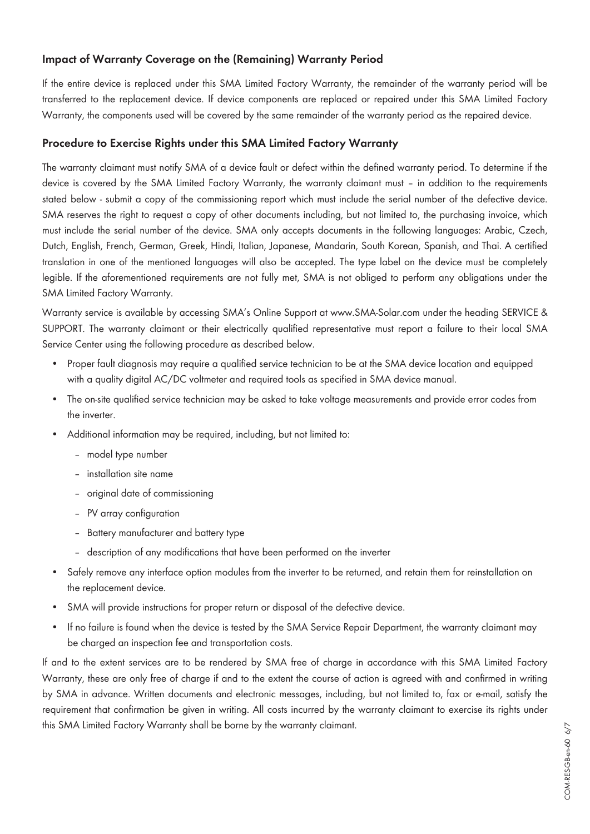# **Impact of Warranty Coverage on the (Remaining) Warranty Period**

If the entire device is replaced under this SMA Limited Factory Warranty, the remainder of the warranty period will be transferred to the replacement device. If device components are replaced or repaired under this SMA Limited Factory Warranty, the components used will be covered by the same remainder of the warranty period as the repaired device.

## **Procedure to Exercise Rights under this SMA Limited Factory Warranty**

The warranty claimant must notify SMA of a device fault or defect within the defined warranty period. To determine if the device is covered by the SMA Limited Factory Warranty, the warranty claimant must – in addition to the requirements stated below - submit a copy of the commissioning report which must include the serial number of the defective device. SMA reserves the right to request a copy of other documents including, but not limited to, the purchasing invoice, which must include the serial number of the device. SMA only accepts documents in the following languages: Arabic, Czech, Dutch, English, French, German, Greek, Hindi, Italian, Japanese, Mandarin, South Korean, Spanish, and Thai. A certified translation in one of the mentioned languages will also be accepted. The type label on the device must be completely legible. If the aforementioned requirements are not fully met, SMA is not obliged to perform any obligations under the SMA Limited Factory Warranty.

Warranty service is available by accessing SMA's Online Support at [www.SMA-Solar.com](http://www.SMA-Solar.com) under the heading SERVICE & SUPPORT. The warranty claimant or their electrically qualified representative must report a failure to their local SMA Service Center using the following procedure as described below.

- Proper fault diagnosis may require a qualified service technician to be at the SMA device location and equipped with a quality digital AC/DC voltmeter and required tools as specified in SMA device manual.
- The on-site qualified service technician may be asked to take voltage measurements and provide error codes from the inverter.
- Additional information may be required, including, but not limited to:
	- model type number
	- installation site name
	- original date of commissioning
	- PV array configuration
	- Battery manufacturer and battery type
	- description of any modifications that have been performed on the inverter
- Safely remove any interface option modules from the inverter to be returned, and retain them for reinstallation on the replacement device.
- SMA will provide instructions for proper return or disposal of the defective device.
- If no failure is found when the device is tested by the SMA Service Repair Department, the warranty claimant may be charged an inspection fee and transportation costs.

If and to the extent services are to be rendered by SMA free of charge in accordance with this SMA Limited Factory Warranty, these are only free of charge if and to the extent the course of action is agreed with and confirmed in writing by SMA in advance. Written documents and electronic messages, including, but not limited to, fax or e-mail, satisfy the requirement that confirmation be given in writing. All costs incurred by the warranty claimant to exercise its rights under this SMA Limited Factory Warranty shall be borne by the warranty claimant.